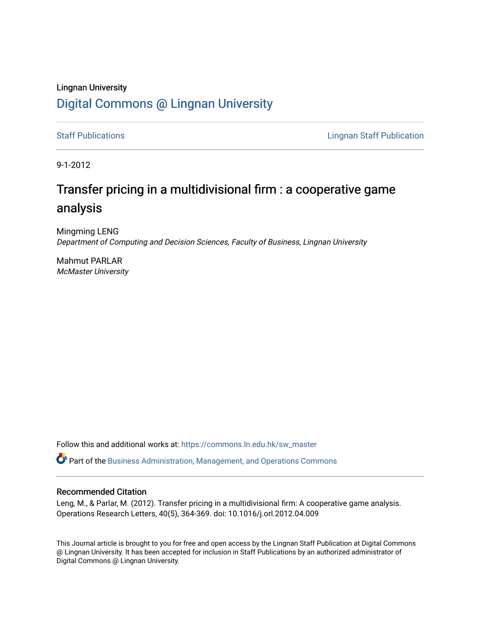# Lingnan University [Digital Commons @ Lingnan University](https://commons.ln.edu.hk/)

[Staff Publications](https://commons.ln.edu.hk/sw_master) **Staff Publications Lingnan Staff Publication** 

9-1-2012

# Transfer pricing in a multidivisional firm : a cooperative game analysis

Mingming LENG Department of Computing and Decision Sciences, Faculty of Business, Lingnan University

Mahmut PARLAR McMaster University

Follow this and additional works at: [https://commons.ln.edu.hk/sw\\_master](https://commons.ln.edu.hk/sw_master?utm_source=commons.ln.edu.hk%2Fsw_master%2F1611&utm_medium=PDF&utm_campaign=PDFCoverPages) 

Part of the [Business Administration, Management, and Operations Commons](http://network.bepress.com/hgg/discipline/623?utm_source=commons.ln.edu.hk%2Fsw_master%2F1611&utm_medium=PDF&utm_campaign=PDFCoverPages)

### Recommended Citation

Leng, M., & Parlar, M. (2012). Transfer pricing in a multidivisional firm: A cooperative game analysis. Operations Research Letters, 40(5), 364-369. doi: 10.1016/j.orl.2012.04.009

This Journal article is brought to you for free and open access by the Lingnan Staff Publication at Digital Commons @ Lingnan University. It has been accepted for inclusion in Staff Publications by an authorized administrator of Digital Commons @ Lingnan University.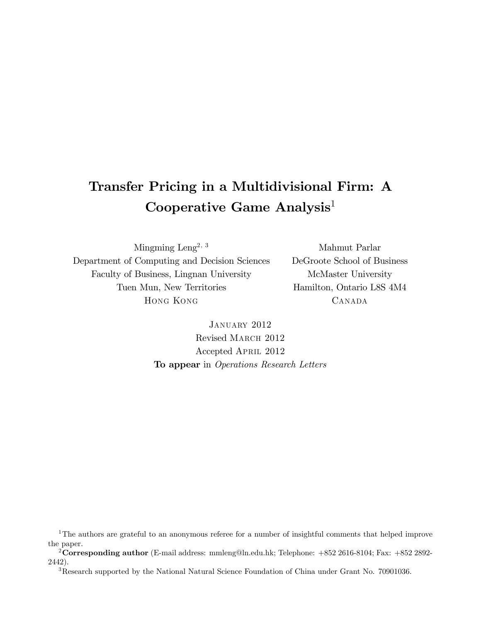# Transfer Pricing in a Multidivisional Firm: A Cooperative Game Analysis<sup>1</sup>

Mingming  $\text{Leng}^2$ , 3 Department of Computing and Decision Sciences Faculty of Business, Lingnan University Tuen Mun, New Territories Hong Kong

Mahmut Parlar DeGroote School of Business McMaster University Hamilton, Ontario L8S 4M4 **CANADA** 

January 2012 Revised March 2012 Accepted April 2012 To appear in Operations Research Letters

<sup>1</sup>The authors are grateful to an anonymous referee for a number of insightful comments that helped improve the paper.

<sup>2</sup>Corresponding author (E-mail address: mmleng@ln.edu.hk; Telephone:  $+852\,2616-8104$ ; Fax:  $+852\,2892-$ 2442).

<sup>3</sup>Research supported by the National Natural Science Foundation of China under Grant No. 70901036.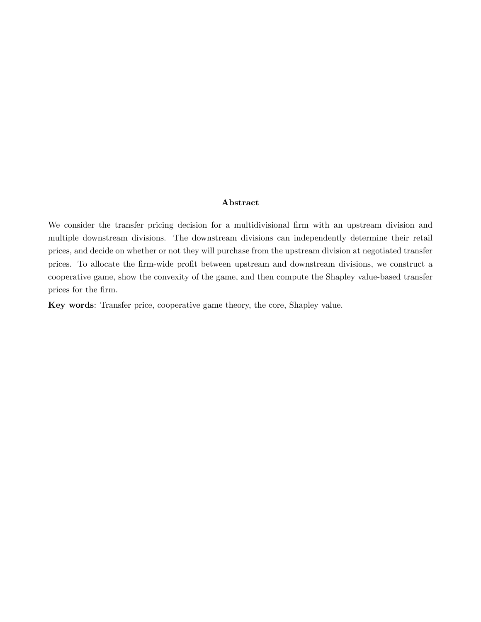### Abstract

We consider the transfer pricing decision for a multidivisional firm with an upstream division and multiple downstream divisions. The downstream divisions can independently determine their retail prices, and decide on whether or not they will purchase from the upstream division at negotiated transfer prices. To allocate the firm-wide profit between upstream and downstream divisions, we construct a cooperative game, show the convexity of the game, and then compute the Shapley value-based transfer prices for the Örm.

Key words: Transfer price, cooperative game theory, the core, Shapley value.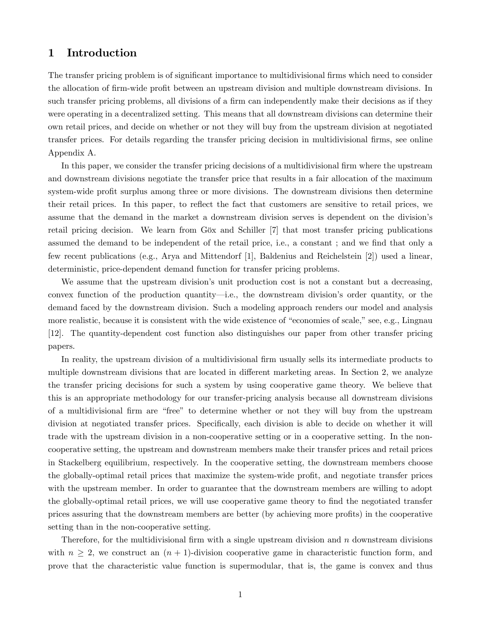# 1 Introduction

The transfer pricing problem is of significant importance to multidivisional firms which need to consider the allocation of firm-wide profit between an upstream division and multiple downstream divisions. In such transfer pricing problems, all divisions of a firm can independently make their decisions as if they were operating in a decentralized setting. This means that all downstream divisions can determine their own retail prices, and decide on whether or not they will buy from the upstream division at negotiated transfer prices. For details regarding the transfer pricing decision in multidivisional firms, see online Appendix A.

In this paper, we consider the transfer pricing decisions of a multidivisional firm where the upstream and downstream divisions negotiate the transfer price that results in a fair allocation of the maximum system-wide profit surplus among three or more divisions. The downstream divisions then determine their retail prices. In this paper, to reflect the fact that customers are sensitive to retail prices, we assume that the demand in the market a downstream division serves is dependent on the division's retail pricing decision. We learn from Göx and Schiller  $[7]$  that most transfer pricing publications assumed the demand to be independent of the retail price, i.e., a constant; and we find that only a few recent publications (e.g., Arya and Mittendorf [1], Baldenius and Reichelstein [2]) used a linear, deterministic, price-dependent demand function for transfer pricing problems.

We assume that the upstream division's unit production cost is not a constant but a decreasing, convex function of the production quantity—i.e., the downstream division's order quantity, or the demand faced by the downstream division. Such a modeling approach renders our model and analysis more realistic, because it is consistent with the wide existence of "economies of scale," see, e.g., Lingnau [12]. The quantity-dependent cost function also distinguishes our paper from other transfer pricing papers.

In reality, the upstream division of a multidivisional firm usually sells its intermediate products to multiple downstream divisions that are located in different marketing areas. In Section 2, we analyze the transfer pricing decisions for such a system by using cooperative game theory. We believe that this is an appropriate methodology for our transfer-pricing analysis because all downstream divisions of a multidivisional firm are "free" to determine whether or not they will buy from the upstream division at negotiated transfer prices. Specifically, each division is able to decide on whether it will trade with the upstream division in a non-cooperative setting or in a cooperative setting. In the noncooperative setting, the upstream and downstream members make their transfer prices and retail prices in Stackelberg equilibrium, respectively. In the cooperative setting, the downstream members choose the globally-optimal retail prices that maximize the system-wide profit, and negotiate transfer prices with the upstream member. In order to guarantee that the downstream members are willing to adopt the globally-optimal retail prices, we will use cooperative game theory to find the negotiated transfer prices assuring that the downstream members are better (by achieving more profits) in the cooperative setting than in the non-cooperative setting.

Therefore, for the multidivisional firm with a single upstream division and  $n$  downstream divisions with  $n \geq 2$ , we construct an  $(n + 1)$ -division cooperative game in characteristic function form, and prove that the characteristic value function is supermodular, that is, the game is convex and thus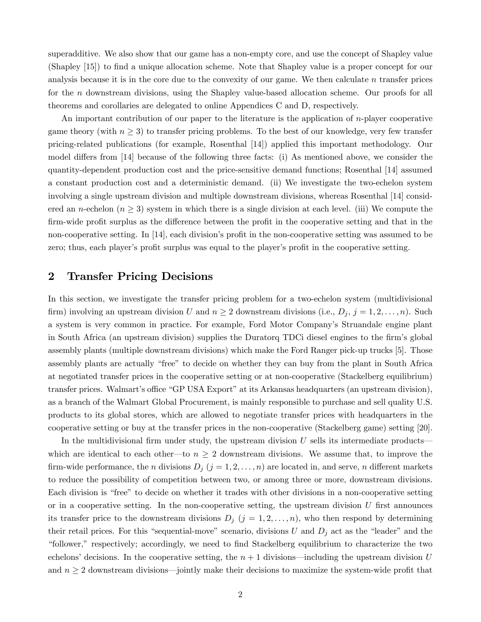superadditive. We also show that our game has a non-empty core, and use the concept of Shapley value (Shapley [15]) to Önd a unique allocation scheme. Note that Shapley value is a proper concept for our analysis because it is in the core due to the convexity of our game. We then calculate n transfer prices for the n downstream divisions, using the Shapley value-based allocation scheme. Our proofs for all theorems and corollaries are delegated to online Appendices C and D, respectively.

An important contribution of our paper to the literature is the application of *n*-player cooperative game theory (with  $n \geq 3$ ) to transfer pricing problems. To the best of our knowledge, very few transfer pricing-related publications (for example, Rosenthal [14]) applied this important methodology. Our model differs from [14] because of the following three facts: (i) As mentioned above, we consider the quantity-dependent production cost and the price-sensitive demand functions; Rosenthal [14] assumed a constant production cost and a deterministic demand. (ii) We investigate the two-echelon system involving a single upstream division and multiple downstream divisions, whereas Rosenthal [14] considered an n-echelon ( $n \geq 3$ ) system in which there is a single division at each level. (iii) We compute the firm-wide profit surplus as the difference between the profit in the cooperative setting and that in the non-cooperative setting. In  $[14]$ , each division's profit in the non-cooperative setting was assumed to be zero; thus, each player's profit surplus was equal to the player's profit in the cooperative setting.

## 2 Transfer Pricing Decisions

In this section, we investigate the transfer pricing problem for a two-echelon system (multidivisional firm) involving an upstream division U and  $n \geq 2$  downstream divisions (i.e.,  $D_j$ ,  $j = 1, 2, \ldots, n$ ). Such a system is very common in practice. For example, Ford Motor Companyís Struandale engine plant in South Africa (an upstream division) supplies the Duratorq TDCi diesel engines to the firm's global assembly plants (multiple downstream divisions) which make the Ford Ranger pick-up trucks [5]. Those assembly plants are actually "free" to decide on whether they can buy from the plant in South Africa at negotiated transfer prices in the cooperative setting or at non-cooperative (Stackelberg equilibrium) transfer prices. Walmart's office "GP USA Export" at its Arkansas headquarters (an upstream division), as a branch of the Walmart Global Procurement, is mainly responsible to purchase and sell quality U.S. products to its global stores, which are allowed to negotiate transfer prices with headquarters in the cooperative setting or buy at the transfer prices in the non-cooperative (Stackelberg game) setting [20].

In the multidivisional firm under study, the upstream division  $U$  sells its intermediate products which are identical to each other—to  $n \geq 2$  downstream divisions. We assume that, to improve the firm-wide performance, the n divisions  $D_j$   $(j = 1, 2, ..., n)$  are located in, and serve, n different markets to reduce the possibility of competition between two, or among three or more, downstream divisions. Each division is "free" to decide on whether it trades with other divisions in a non-cooperative setting or in a cooperative setting. In the non-cooperative setting, the upstream division  $U$  first announces its transfer price to the downstream divisions  $D_j$   $(j = 1, 2, \ldots, n)$ , who then respond by determining their retail prices. For this "sequential-move" scenario, divisions  $U$  and  $D_j$  act as the "leader" and the ìfollower,î respectively; accordingly, we need to Önd Stackelberg equilibrium to characterize the two echelons' decisions. In the cooperative setting, the  $n + 1$  divisions—including the upstream division U and  $n \geq 2$  downstream divisions—jointly make their decisions to maximize the system-wide profit that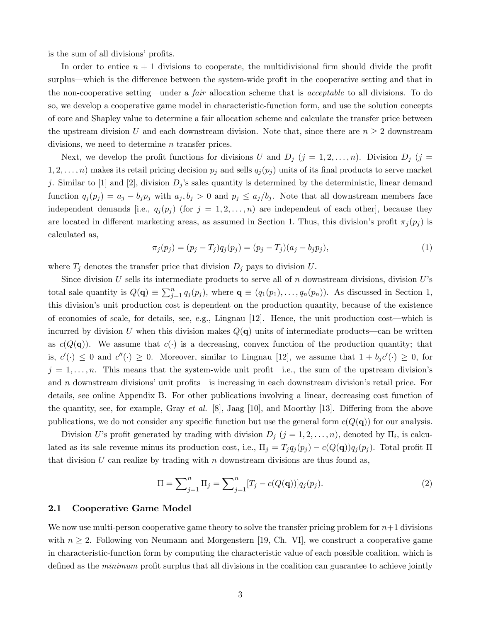is the sum of all divisions' profits.

In order to entice  $n + 1$  divisions to cooperate, the multidivisional firm should divide the profit surplus—which is the difference between the system-wide profit in the cooperative setting and that in the non-cooperative setting—under a *fair* allocation scheme that is *acceptable* to all divisions. To do so, we develop a cooperative game model in characteristic-function form, and use the solution concepts of core and Shapley value to determine a fair allocation scheme and calculate the transfer price between the upstream division U and each downstream division. Note that, since there are  $n \geq 2$  downstream divisions, we need to determine n transfer prices.

Next, we develop the profit functions for divisions U and  $D_j$   $(j = 1, 2, \ldots, n)$ . Division  $D_j$   $(j =$  $1, 2, \ldots, n$  makes its retail pricing decision  $p_j$  and sells  $q_j(p_j)$  units of its final products to serve market j. Similar to [1] and [2], division  $D_j$ 's sales quantity is determined by the deterministic, linear demand function  $q_j(p_j) = a_j - b_j p_j$  with  $a_j, b_j > 0$  and  $p_j \leq a_j/b_j$ . Note that all downstream members face independent demands [i.e.,  $q_j(p_j)$  (for  $j = 1, 2, ..., n$ ) are independent of each other], because they are located in different marketing areas, as assumed in Section 1. Thus, this division's profit  $\pi_i(p_i)$  is calculated as,

$$
\pi_j(p_j) = (p_j - T_j)q_j(p_j) = (p_j - T_j)(a_j - b_jp_j),\tag{1}
$$

where  $T_j$  denotes the transfer price that division  $D_j$  pays to division U.

Since division U sells its intermediate products to serve all of n downstream divisions, division  $U$ 's total sale quantity is  $Q(\mathbf{q}) \equiv \sum_{j=1}^n q_j(p_j)$ , where  $\mathbf{q} \equiv (q_1(p_1), \ldots, q_n(p_n))$ . As discussed in Section 1, this division's unit production cost is dependent on the production quantity, because of the existence of economies of scale, for details, see, e.g., Lingnau  $[12]$ . Hence, the unit production cost—which is incurred by division U when this division makes  $Q(q)$  units of intermediate products—can be written as  $c(Q(q))$ . We assume that  $c(\cdot)$  is a decreasing, convex function of the production quantity; that is,  $c'(\cdot) \leq 0$  and  $c''(\cdot) \geq 0$ . Moreover, similar to Lingnau [12], we assume that  $1 + b_j c'(\cdot) \geq 0$ , for  $j = 1, \ldots, n$ . This means that the system-wide unit profit—i.e., the sum of the upstream division's and n downstream divisions' unit profits—is increasing in each downstream division's retail price. For details, see online Appendix B. For other publications involving a linear, decreasing cost function of the quantity, see, for example, Gray *et al.* [8], Jaag [10], and Moorthy [13]. Differing from the above publications, we do not consider any specific function but use the general form  $c(Q(\mathbf{q}))$  for our analysis.

Division U's profit generated by trading with division  $D_j$   $(j = 1, 2, \ldots, n)$ , denoted by  $\Pi_i$ , is calculated as its sale revenue minus its production cost, i.e.,  $\Pi_j = T_j q_j(p_j) - c(Q(\mathbf{q}))q_j(p_j)$ . Total profit  $\Pi$ that division  $U$  can realize by trading with n downstream divisions are thus found as,

$$
\Pi = \sum_{j=1}^{n} \Pi_j = \sum_{j=1}^{n} [T_j - c(Q(\mathbf{q}))] q_j(p_j).
$$
 (2)

#### 2.1 Cooperative Game Model

We now use multi-person cooperative game theory to solve the transfer pricing problem for  $n+1$  divisions with  $n \geq 2$ . Following von Neumann and Morgenstern [19, Ch. VI], we construct a cooperative game in characteristic-function form by computing the characteristic value of each possible coalition, which is defined as the *minimum* profit surplus that all divisions in the coalition can guarantee to achieve jointly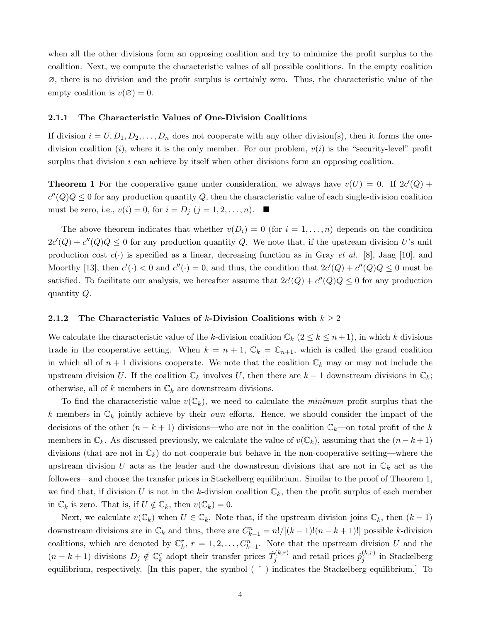when all the other divisions form an opposing coalition and try to minimize the profit surplus to the coalition. Next, we compute the characteristic values of all possible coalitions. In the empty coalition  $\varnothing$ , there is no division and the profit surplus is certainly zero. Thus, the characteristic value of the empty coalition is  $v(\emptyset) = 0$ .

#### 2.1.1 The Characteristic Values of One-Division Coalitions

If division  $i = U, D_1, D_2, \ldots, D_n$  does not cooperate with any other division(s), then it forms the onedivision coalition (i), where it is the only member. For our problem,  $v(i)$  is the "security-level" profit surplus that division  $i$  can achieve by itself when other divisions form an opposing coalition.

**Theorem 1** For the cooperative game under consideration, we always have  $v(U) = 0$ . If  $2c'(Q)$  +  $c''(Q)Q \leq 0$  for any production quantity  $Q$ , then the characteristic value of each single-division coalition must be zero, i.e.,  $v(i) = 0$ , for  $i = D_j$   $(j = 1, 2, ..., n)$ .

The above theorem indicates that whether  $v(D_i) = 0$  (for  $i = 1, \ldots, n$ ) depends on the condition  $2c'(Q) + c''(Q)Q \leq 0$  for any production quantity Q. We note that, if the upstream division U's unit production cost  $c(\cdot)$  is specified as a linear, decreasing function as in Gray et al. [8], Jaag [10], and Moorthy [13], then  $c'(\cdot) < 0$  and  $c''(\cdot) = 0$ , and thus, the condition that  $2c'(Q) + c''(Q)Q \le 0$  must be satisfied. To facilitate our analysis, we hereafter assume that  $2c'(Q) + c''(Q)Q \leq 0$  for any production quantity Q.

#### 2.1.2 The Characteristic Values of k-Division Coalitions with  $k \geq 2$

We calculate the characteristic value of the k-division coalition  $\mathbb{C}_k$   $(2 \leq k \leq n+1)$ , in which k divisions trade in the cooperative setting. When  $k = n + 1$ ,  $\mathbb{C}_k = \mathbb{C}_{n+1}$ , which is called the grand coalition in which all of  $n+1$  divisions cooperate. We note that the coalition  $\mathbb{C}_k$  may or may not include the upstream division U. If the coalition  $\mathbb{C}_k$  involves U, then there are  $k-1$  downstream divisions in  $\mathbb{C}_k$ ; otherwise, all of k members in  $\mathbb{C}_k$  are downstream divisions.

To find the characteristic value  $v(\mathbb{C}_k)$ , we need to calculate the *minimum* profit surplus that the k members in  $\mathbb{C}_k$  jointly achieve by their *own* efforts. Hence, we should consider the impact of the decisions of the other  $(n - k + 1)$  divisions—who are not in the coalition  $\mathbb{C}_k$ —on total profit of the k members in  $\mathbb{C}_k$ . As discussed previously, we calculate the value of  $v(\mathbb{C}_k)$ , assuming that the  $(n - k + 1)$ divisions (that are not in  $\mathbb{C}_k$ ) do not cooperate but behave in the non-cooperative setting—where the upstream division U acts as the leader and the downstream divisions that are not in  $\mathbb{C}_k$  act as the followers—and choose the transfer prices in Stackelberg equilibrium. Similar to the proof of Theorem 1, we find that, if division U is not in the k-division coalition  $\mathbb{C}_k$ , then the profit surplus of each member in  $\mathbb{C}_k$  is zero. That is, if  $U \notin \mathbb{C}_k$ , then  $v(\mathbb{C}_k) = 0$ .

Next, we calculate  $v(\mathbb{C}_k)$  when  $U \in \mathbb{C}_k$ . Note that, if the upstream division joins  $\mathbb{C}_k$ , then  $(k-1)$ downstream divisions are in  $\mathbb{C}_k$  and thus, there are  $C_{k-1}^n = n!/[(k-1)!(n-k+1)!]$  possible k-division coalitions, which are denoted by  $\mathbb{C}_k^r$ ,  $r = 1, 2, \ldots, C_{k-1}^n$ . Note that the upstream division U and the  $(n - k + 1)$  divisions  $D_j \notin \mathbb{C}_k^r$  adopt their transfer prices  $\hat{T}^{(k;r)}_j$  $\hat{p}^{(k;r)}_j$  and retail prices  $\hat{p}^{(k;r)}_j$  $j^{(k;r)}$  in Stackelberg equilibrium, respectively. [In this paper, the symbol ( ^ ) indicates the Stackelberg equilibrium.] To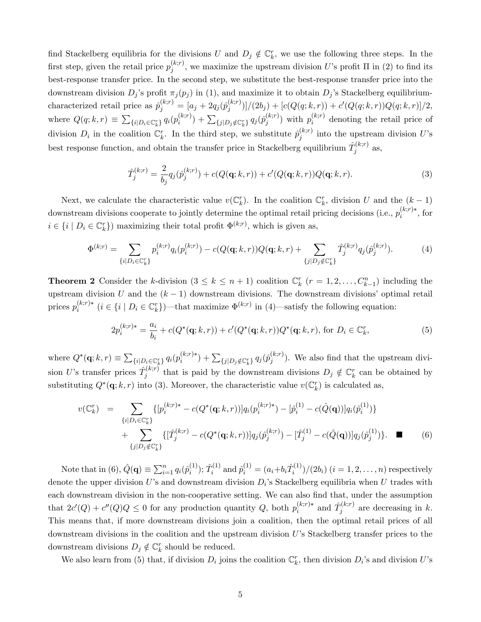find Stackelberg equilibria for the divisions U and  $D_j \notin \mathbb{C}_k^r$ , we use the following three steps. In the first step, given the retail price  $p_j^{(k;r)}$  $j_j^{(\kappa;r)}$ , we maximize the upstream division U's profit  $\Pi$  in (2) to find its best-response transfer price. In the second step, we substitute the best-response transfer price into the downstream division  $D_j$ 's profit  $\pi_j(p_j)$  in (1), and maximize it to obtain  $D_j$ 's Stackelberg equilibriumcharacterized retail price as  $\hat{p}_j^{(k;r)} = [a_j + 2q_j (\hat{p}_j^{(k;r)})]$  $\frac{1}{2} \frac{c^{(k,r')}}{2} ]/(2b_j) + [c(Q(q;k,r)) + c'(Q(q;k,r))Q(q;k,r)]/2,$ where  $Q(q; k, r) \equiv \sum_{\{i | D_i \in \mathbb{C}_k^r\}} q_i(p_i^{(k; r)})$  $\hat{g}^{(k;r)}_{i}) + \sum_{\{j| D_j \notin \mathbb{C}_k^r\}} q_j(\hat{p}^{(k;r)}_j)$  $j^{(k;r)}$  with  $p_i^{(k;r)}$  $i^{(k,r)}$  denoting the retail price of division  $D_i$  in the coalition  $\mathbb{C}_k^r$ . In the third step, we substitute  $\hat{p}_j^{(k;r)}$  $j_j^{(k,r)}$  into the upstream division U's best response function, and obtain the transfer price in Stackelberg equilibrium  $\hat{T}^{(k;r)}_i$  $j^{(\kappa,r)}$  as,

$$
\hat{T}_j^{(k;r)} = \frac{2}{b_j} q_j(\hat{p}_j^{(k;r)}) + c(Q(\mathbf{q};k,r)) + c'(Q(\mathbf{q};k,r))Q(\mathbf{q};k,r).
$$
\n(3)

Next, we calculate the characteristic value  $v(\mathbb{C}_k^r)$ . In the coalition  $\mathbb{C}_k^r$ , division U and the  $(k-1)$ downstream divisions cooperate to jointly determine the optimal retail pricing decisions (i.e.,  $p_i^{(k;r)*}$ , for  $i \in \{i \mid D_i \in \mathbb{C}_k^r\}$  maximizing their total profit  $\Phi^{(k;r)}$ , which is given as,

$$
\Phi^{(k;r)} = \sum_{\{i|D_i \in \mathbb{C}_k^r\}} p_i^{(k;r)} q_i(p_i^{(k;r)}) - c(Q(\mathbf{q};k,r))Q(\mathbf{q};k,r) + \sum_{\{j|D_j \notin \mathbb{C}_k^r\}} \hat{T}_j^{(k;r)} q_j(p_j^{(k;r)}).
$$
(4)

**Theorem 2** Consider the k-division  $(3 \le k \le n+1)$  coalition  $\mathbb{C}_k^r$   $(r = 1, 2, ..., C_{k-1}^n)$  including the upstream division U and the  $(k - 1)$  downstream divisions. The downstream divisions' optimal retail prices  $p_i^{(k;r)*}$   $(i \in \{i \mid D_i \in \mathbb{C}_k^r\})$ —that maximize  $\Phi^{(k;r)}$  in (4)—satisfy the following equation:

$$
2p_i^{(k;r)*} = \frac{a_i}{b_i} + c(Q^*(\mathbf{q};k,r)) + c'(Q^*(\mathbf{q};k,r))Q^*(\mathbf{q};k,r), \text{ for } D_i \in \mathbb{C}_k^r,
$$
\n
$$
(5)
$$

where  $Q^*(\mathbf{q}; k, r) \equiv \sum_{\{i | D_i \in \mathbb{C}_k^r\}} q_i(p_i^{(k;r)*}) + \sum_{\{j | D_j \notin \mathbb{C}_k^r\}} q_j(p_j^{(k;r)})$  $j_j^{(k,r)}$ ). We also find that the upstream division U's transfer prices  $\hat{T}^{(k;r)}_i$  $j_j^{(k;r)}$  that is paid by the downstream divisions  $D_j \notin \mathbb{C}_k^r$  can be obtained by substituting  $Q^*(\mathbf{q};k,r)$  into (3). Moreover, the characteristic value  $v(\mathbb{C}_k^r)$  is calculated as,

$$
v(\mathbb{C}_k^r) = \sum_{\{i|D_i \in \mathbb{C}_k^r\}} \{ [p_i^{(k;r)*} - c(Q^*(\mathbf{q};k,r))] q_i(p_i^{(k;r)*}) - [\hat{p}_i^{(1)} - c(\hat{Q}(\mathbf{q}))] q_i(\hat{p}_i^{(1)}) \} + \sum_{\{j|D_j \notin \mathbb{C}_k^r\}} \{ [\hat{T}_j^{(k;r)} - c(Q^*(\mathbf{q};k,r))] q_j(\hat{p}_j^{(k;r)}) - [\hat{T}_j^{(1)} - c(\hat{Q}(\mathbf{q}))] q_j(\hat{p}_j^{(1)}) \}.
$$
 (6)

Note that in (6),  $\hat{Q}(\mathbf{q}) \equiv \sum_{i=1}^{n} q_i(\hat{p}_i^{(1)})$  $(\stackrel{(1)}{i}); \hat{T}^{(1)}_i$  $\hat{p}_i^{(1)}$  and  $\hat{p}_i^{(1)} = (a_i+b_i\hat{T}_i^{(1)})$  $(i^{(1)})(2b_i)$   $(i = 1, 2, ..., n)$  respectively denote the upper division U's and downstream division  $D_i$ 's Stackelberg equilibria when U trades with each downstream division in the non-cooperative setting. We can also find that, under the assumption that  $2c'(Q) + c''(Q)Q \leq 0$  for any production quantity Q, both  $p_i^{(k;r)*}$  and  $\hat{T}_j^{(k;r)}$  $j^{(k,r)}$  are decreasing in k. This means that, if more downstream divisions join a coalition, then the optimal retail prices of all downstream divisions in the coalition and the upstream division  $U$ 's Stackelberg transfer prices to the downstream divisions  $D_j \notin \mathbb{C}_k^r$  should be reduced.

We also learn from (5) that, if division  $D_i$  joins the coalition  $\mathbb{C}_k^r$ , then division  $D_i$ 's and division U's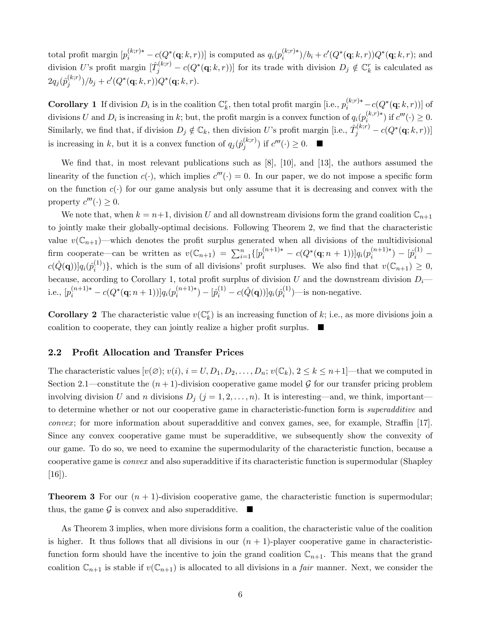total profit margin  $[p_i^{(k;r)*} - c(Q^*(\mathbf{q};k,r))]$  is computed as  $q_i(p_i^{(k;r)*})/b_i + c'(Q^*(\mathbf{q};k,r))Q^*(\mathbf{q};k,r)$ ; and division U's profit margin  $[\hat{T}^{(k;r)}_j - c(Q^*(\mathbf{q};k,r))]$  for its trade with division  $D_j \notin \mathbb{C}_k^r$  is calculated as  $2q_j(\hat{p}_j^{(k;r)}$  $\int_{j}^{(k;r)})/b_j + c'(Q^*(\mathbf{q};k,r))Q^*(\mathbf{q};k,r).$ 

**Corollary 1** If division  $D_i$  is in the coalition  $\mathbb{C}_k^r$ , then total profit margin [i.e.,  $p_i^{(k;r)*} - c(Q^*(\mathbf{q};k,r))]$  of divisions U and  $D_i$  is increasing in k; but, the profit margin is a convex function of  $q_i(p_i^{(k,r)*})$  if  $c'''(\cdot) \ge 0$ . Similarly, we find that, if division  $D_j \notin \mathbb{C}_k$ , then division U's profit margin [i.e.,  $\hat{T}^{(k;r)}_j - c(Q^*(q;k,r))]$ ] is increasing in k, but it is a convex function of  $q_j(\hat{p}_j^{(k;r)})$  $j^{(\kappa;r)}$  if  $c'''(\cdot) \geq 0$ .

We find that, in most relevant publications such as  $[8]$ ,  $[10]$ , and  $[13]$ , the authors assumed the linearity of the function  $c(\cdot)$ , which implies  $c'''(\cdot) = 0$ . In our paper, we do not impose a specific form on the function  $c(\cdot)$  for our game analysis but only assume that it is decreasing and convex with the property  $c'''(\cdot) \geq 0$ .

We note that, when  $k = n+1$ , division U and all downstream divisions form the grand coalition  $\mathbb{C}_{n+1}$ to jointly make their globally-optimal decisions. Following Theorem 2, we find that the characteristic value  $v(\mathbb{C}_{n+1})$ —which denotes the profit surplus generated when all divisions of the multidivisional firm cooperate—can be written as  $v(\mathbb{C}_{n+1}) = \sum_{i=1}^n \{ [p_i^{(n+1)*} - c(Q^*(q; n+1))] q_i(p_i^{(n+1)*}) - [p_i^{(1)} - q_i^{(1)}] \}$  $c(\hat{Q}(\mathbf{q}))]q_i(\hat{p}_i^{(1)}$  $\{f_i^{(1)}\}$ , which is the sum of all divisions' profit surpluses. We also find that  $v(\mathbb{C}_{n+1}) \geq 0$ , because, according to Corollary 1, total profit surplus of division U and the downstream division  $D_i$ i.e.,  $[p_i^{(n+1)*} - c(Q^*(\mathbf{q}; n+1))]q_i(p_i^{(n+1)*}) - [\hat{p}_i^{(1)} - c(\hat{Q}(\mathbf{q}))]q_i(\hat{p}_i^{(1)}$  $i^{(1)}$ )—is non-negative.

**Corollary 2** The characteristic value  $v(\mathbb{C}_k^r)$  is an increasing function of k; i.e., as more divisions join a coalition to cooperate, they can jointly realize a higher profit surplus.  $\blacksquare$ 

#### 2.2 Profit Allocation and Transfer Prices

The characteristic values  $[v(\emptyset); v(i), i = U, D_1, D_2, \ldots, D_n; v(\mathbb{C}_k), 2 \leq k \leq n+1]$ —that we computed in Section 2.1—constitute the  $(n + 1)$ -division cooperative game model G for our transfer pricing problem involving division U and n divisions  $D_j$   $(j = 1, 2, \ldots, n)$ . It is interesting—and, we think, important to determine whether or not our cooperative game in characteristic-function form is superadditive and  $convex$ ; for more information about superadditive and convex games, see, for example, Straffin [17]. Since any convex cooperative game must be superadditive, we subsequently show the convexity of our game. To do so, we need to examine the supermodularity of the characteristic function, because a cooperative game is convex and also superadditive if its characteristic function is supermodular (Shapley  $[16]$ ).

**Theorem 3** For our  $(n + 1)$ -division cooperative game, the characteristic function is supermodular; thus, the game  $\mathcal G$  is convex and also superadditive.  $\blacksquare$ 

As Theorem 3 implies, when more divisions form a coalition, the characteristic value of the coalition is higher. It thus follows that all divisions in our  $(n + 1)$ -player cooperative game in characteristicfunction form should have the incentive to join the grand coalition  $\mathbb{C}_{n+1}$ . This means that the grand coalition  $\mathbb{C}_{n+1}$  is stable if  $v(\mathbb{C}_{n+1})$  is allocated to all divisions in a *fair* manner. Next, we consider the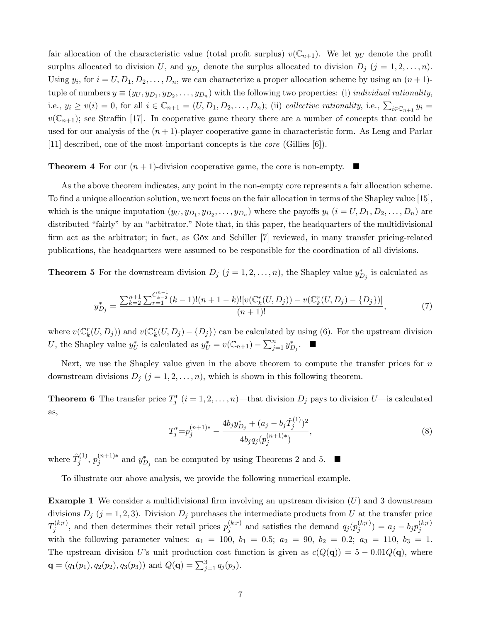fair allocation of the characteristic value (total profit surplus)  $v(\mathbb{C}_{n+1})$ . We let  $y_U$  denote the profit surplus allocated to division U, and  $y_{D_j}$  denote the surplus allocated to division  $D_j$   $(j = 1, 2, \ldots, n)$ . Using  $y_i$ , for  $i = U, D_1, D_2, \ldots, D_n$ , we can characterize a proper allocation scheme by using an  $(n+1)$ tuple of numbers  $y \equiv (y_U, y_{D_1}, y_{D_2}, \dots, y_{D_n})$  with the following two properties: (i) *individual rationality*, i.e.,  $y_i \ge v(i) = 0$ , for all  $i \in \mathbb{C}_{n+1} = (U, D_1, D_2, \ldots, D_n)$ ; (ii) collective rationality, i.e.,  $\sum_{i \in \mathbb{C}_{n+1}} y_i =$  $v(\mathbb{C}_{n+1})$ ; see Straffin [17]. In cooperative game theory there are a number of concepts that could be used for our analysis of the  $(n+1)$ -player cooperative game in characteristic form. As Leng and Parlar  $[11]$  described, one of the most important concepts is the *core* (Gillies  $[6]$ ).

**Theorem 4** For our  $(n + 1)$ -division cooperative game, the core is non-empty.  $\blacksquare$ 

As the above theorem indicates, any point in the non-empty core represents a fair allocation scheme. To find a unique allocation solution, we next focus on the fair allocation in terms of the Shapley value [15], which is the unique imputation  $(y_U, y_{D_1}, y_{D_2}, \ldots, y_{D_n})$  where the payoffs  $y_i$   $(i = U, D_1, D_2, \ldots, D_n)$  are distributed "fairly" by an "arbitrator." Note that, in this paper, the headquarters of the multidivisional firm act as the arbitrator; in fact, as Göx and Schiller [7] reviewed, in many transfer pricing-related publications, the headquarters were assumed to be responsible for the coordination of all divisions.

**Theorem 5** For the downstream division  $D_j$   $(j = 1, 2, \ldots, n)$ , the Shapley value  $y_{D_j}^*$  is calculated as

$$
y_{D_j}^* = \frac{\sum_{k=2}^{n+1} \sum_{r=1}^{C_{k-2}^{n-1}} (k-1)!(n+1-k)![v(\mathbb{C}_k^r(U, D_j)) - v(\mathbb{C}_k^r(U, D_j) - \{D_j\})]}{(n+1)!},\tag{7}
$$

where  $v(\mathbb{C}_k^r(U, D_j))$  and  $v(\mathbb{C}_k^r(U, D_j) - \{D_j\})$  can be calculated by using (6). For the upstream division U, the Shapley value  $y_U^*$  is calculated as  $y_U^* = v(\mathbb{C}_{n+1}) - \sum_{j=1}^n y_{D_j}^*$ .

Next, we use the Shapley value given in the above theorem to compute the transfer prices for  $n$ downstream divisions  $D_j$   $(j = 1, 2, ..., n)$ , which is shown in this following theorem.

**Theorem 6** The transfer price  $T_j^*$   $(i = 1, 2, ..., n)$ —that division  $D_j$  pays to division  $U$ —is calculated as,

$$
T_j^* = p_j^{(n+1)*} - \frac{4b_j y_{D_j}^* + (a_j - b_j \hat{T}_j^{(1)})^2}{4b_j q_j (p_j^{(n+1)*})},\tag{8}
$$

where  $\hat{T}^{(1)}_i$  $y_j^{(1)}, p_j^{(n+1)*}$  and  $y_{D_j}^*$  can be computed by using Theorems 2 and 5.

To illustrate our above analysis, we provide the following numerical example.

**Example 1** We consider a multidivisional firm involving an upstream division  $(U)$  and 3 downstream divisions  $D_j$  (j = 1, 2, 3). Division  $D_j$  purchases the intermediate products from U at the transfer price  $T^{(k;r)}_i$  $j_j^{(k;r)}$ , and then determines their retail prices  $p_j^{(k;r)}$  $j^{(k;r)}$  and satisfies the demand  $q_j(p_j^{(k;r)})$  $j^{(k;r)}_j$  =  $a_j - b_j p_j^{(k;r)}$ j with the following parameter values:  $a_1 = 100$ ,  $b_1 = 0.5$ ;  $a_2 = 90$ ,  $b_2 = 0.2$ ;  $a_3 = 110$ ,  $b_3 = 1$ . The upstream division U's unit production cost function is given as  $c(Q(\mathbf{q})) = 5 - 0.01Q(\mathbf{q})$ , where  $\mathbf{q} = (q_1(p_1), q_2(p_2), q_3(p_3))$  and  $Q(\mathbf{q}) = \sum_{j=1}^{3} q_j(p_j)$ .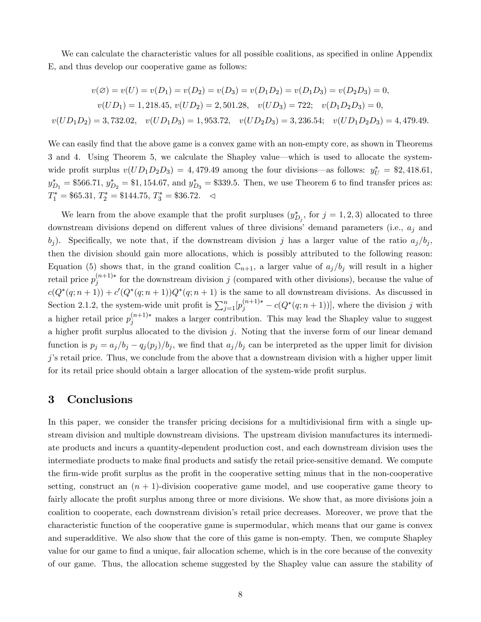We can calculate the characteristic values for all possible coalitions, as specified in online Appendix E, and thus develop our cooperative game as follows:

$$
v(\emptyset) = v(U) = v(D_1) = v(D_2) = v(D_3) = v(D_1D_2) = v(D_1D_3) = v(D_2D_3) = 0,
$$
  
\n
$$
v(UD_1) = 1,218.45, v(UD_2) = 2,501.28, v(UD_3) = 722; v(D_1D_2D_3) = 0,
$$
  
\n
$$
v(UD_1D_2) = 3,732.02, v(UD_1D_3) = 1,953.72, v(UD_2D_3) = 3,236.54; v(UD_1D_2D_3) = 4,479.49.
$$

We can easily find that the above game is a convex game with an non-empty core, as shown in Theorems 3 and 4. Using Theorem 5, we calculate the Shapley value—which is used to allocate the systemwide profit surplus  $v(UD_1D_2D_3) = 4,479.49$  among the four divisions—as follows:  $y_{U}^* = $2,418.61$ ,  $y_{D_1}^* = $566.71, y_{D_2}^* = $1,154.67, \text{ and } y_{D_3}^* = $339.5. \text{ Then, we use Theorem 6 to find transfer prices as:}$  $T_1^* = $65.31, T_2^* = $144.75, T_3^* = $36.72.$ 

We learn from the above example that the profit surpluses  $(y_{D_j}^*$ , for  $j = 1, 2, 3)$  allocated to three downstream divisions depend on different values of three divisions' demand parameters (i.e.,  $a_j$  and  $b_i$ ). Specifically, we note that, if the downstream division j has a larger value of the ratio  $a_j/b_j$ , then the division should gain more allocations, which is possibly attributed to the following reason: Equation (5) shows that, in the grand coalition  $\mathbb{C}_{n+1}$ , a larger value of  $a_j/b_j$  will result in a higher retail price  $p_j^{(n+1)*}$  for the downstream division j (compared with other divisions), because the value of  $c(Q^*(q;n+1))+c'(Q^*(q;n+1))Q^*(q;n+1)$  is the same to all downstream divisions. As discussed in Section 2.1.2, the system-wide unit profit is  $\sum_{j=1}^{n} [p_j^{(n+1)*} - c(Q^*(q; n+1))]$ , where the division j with a higher retail price  $p_j^{(n+1)*}$  makes a larger contribution. This may lead the Shapley value to suggest a higher profit surplus allocated to the division  $j$ . Noting that the inverse form of our linear demand function is  $p_j = a_j/b_j - q_j(p_j)/b_j$ , we find that  $a_j/b_j$  can be interpreted as the upper limit for division  $j$ 's retail price. Thus, we conclude from the above that a downstream division with a higher upper limit for its retail price should obtain a larger allocation of the system-wide profit surplus.

## 3 Conclusions

In this paper, we consider the transfer pricing decisions for a multidivisional firm with a single upstream division and multiple downstream divisions. The upstream division manufactures its intermediate products and incurs a quantity-dependent production cost, and each downstream division uses the intermediate products to make final products and satisfy the retail price-sensitive demand. We compute the firm-wide profit surplus as the profit in the cooperative setting minus that in the non-cooperative setting, construct an  $(n + 1)$ -division cooperative game model, and use cooperative game theory to fairly allocate the profit surplus among three or more divisions. We show that, as more divisions join a coalition to cooperate, each downstream division's retail price decreases. Moreover, we prove that the characteristic function of the cooperative game is supermodular, which means that our game is convex and superadditive. We also show that the core of this game is non-empty. Then, we compute Shapley value for our game to find a unique, fair allocation scheme, which is in the core because of the convexity of our game. Thus, the allocation scheme suggested by the Shapley value can assure the stability of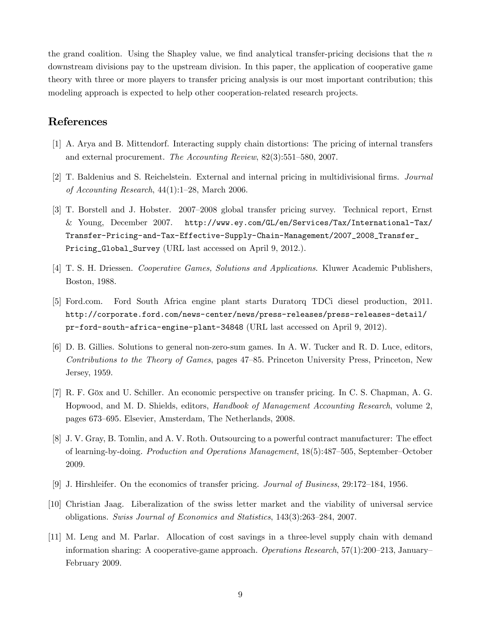the grand coalition. Using the Shapley value, we find analytical transfer-pricing decisions that the  $n$ downstream divisions pay to the upstream division. In this paper, the application of cooperative game theory with three or more players to transfer pricing analysis is our most important contribution; this modeling approach is expected to help other cooperation-related research projects.

# References

- [1] A. Arya and B. Mittendorf. Interacting supply chain distortions: The pricing of internal transfers and external procurement. The Accounting Review,  $82(3):551-580$ , 2007.
- [2] T. Baldenius and S. Reichelstein. External and internal pricing in multidivisional firms. *Journal* of Accounting Research,  $44(1):1-28$ , March 2006.
- [3] T. Borstell and J. Hobster. 2007–2008 global transfer pricing survey. Technical report, Ernst & Young, December 2007. http://www.ey.com/GL/en/Services/Tax/International-Tax/ Transfer-Pricing-and-Tax-Effective-Supply-Chain-Management/2007\_2008\_Transfer\_ Pricing\_Global\_Survey (URL last accessed on April 9, 2012.).
- [4] T. S. H. Driessen. Cooperative Games, Solutions and Applications. Kluwer Academic Publishers, Boston, 1988.
- [5] Ford.com. Ford South Africa engine plant starts Duratorq TDCi diesel production, 2011. http://corporate.ford.com/news-center/news/press-releases/press-releases-detail/ pr-ford-south-africa-engine-plant-34848 (URL last accessed on April 9, 2012).
- [6] D. B. Gillies. Solutions to general non-zero-sum games. In A. W. Tucker and R. D. Luce, editors, Contributions to the Theory of Games, pages 47–85. Princeton University Press, Princeton, New Jersey, 1959.
- [7] R. F. Göx and U. Schiller. An economic perspective on transfer pricing. In C. S. Chapman, A. G. Hopwood, and M. D. Shields, editors, Handbook of Management Accounting Research, volume 2, pages 673–695. Elsevier, Amsterdam, The Netherlands, 2008.
- [8] J. V. Gray, B. Tomlin, and A. V. Roth. Outsourcing to a powerful contract manufacturer: The effect of learning-by-doing. *Production and Operations Management*, 18(5):487–505, September–October 2009.
- [9] J. Hirshleifer. On the economics of transfer pricing. *Journal of Business*,  $29:172-184$ , 1956.
- [10] Christian Jaag. Liberalization of the swiss letter market and the viability of universal service obligations. Swiss Journal of Economics and Statistics, 143(3):263-284, 2007.
- [11] M. Leng and M. Parlar. Allocation of cost savings in a three-level supply chain with demand information sharing: A cooperative-game approach. Operations Research,  $57(1):200-213$ , January February 2009.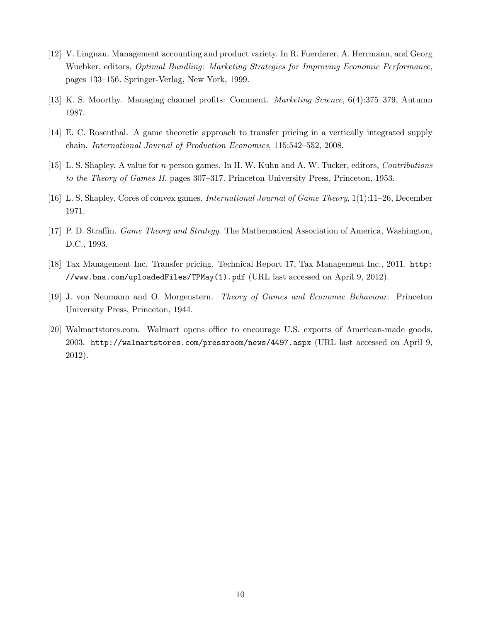- [12] V. Lingnau. Management accounting and product variety. In R. Fuerderer, A. Herrmann, and Georg Wuebker, editors, Optimal Bundling: Marketing Strategies for Improving Economic Performance, pages 133–156. Springer-Verlag, New York, 1999.
- [13] K. S. Moorthy. Managing channel profits: Comment. *Marketing Science*,  $6(4):375-379$ , Autumn 1987.
- [14] E. C. Rosenthal. A game theoretic approach to transfer pricing in a vertically integrated supply chain. International Journal of Production Economics, 115:542-552, 2008.
- [15] L. S. Shapley. A value for n-person games. In H. W. Kuhn and A. W. Tucker, editors, Contributions to the Theory of Games II, pages  $307-317$ . Princeton University Press, Princeton, 1953.
- [16] L. S. Shapley. Cores of convex games. *International Journal of Game Theory*,  $1(1):11-26$ , December 1971.
- [17] P. D. Straffin. *Game Theory and Strategy*. The Mathematical Association of America, Washington, D.C., 1993.
- [18] Tax Management Inc. Transfer pricing. Technical Report 17, Tax Management Inc., 2011. http: //www.bna.com/uploadedFiles/TPMay(1).pdf (URL last accessed on April 9, 2012).
- [19] J. von Neumann and O. Morgenstern. Theory of Games and Economic Behaviour. Princeton University Press, Princeton, 1944.
- [20] Walmartstores.com. Walmart opens office to encourage U.S. exports of American-made goods, 2003. http://walmartstores.com/pressroom/news/4497.aspx (URL last accessed on April 9, 2012).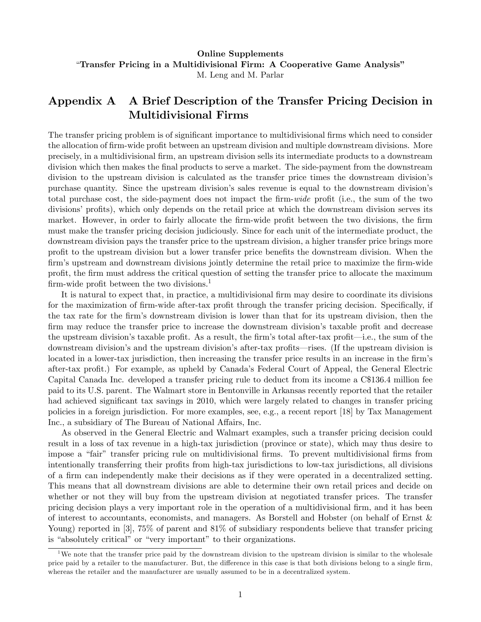## Online Supplements "Transfer Pricing in a Multidivisional Firm: A Cooperative Game Analysis" M. Leng and M. Parlar

# Appendix A A Brief Description of the Transfer Pricing Decision in Multidivisional Firms

The transfer pricing problem is of significant importance to multidivisional firms which need to consider the allocation of firm-wide profit between an upstream division and multiple downstream divisions. More precisely, in a multidivisional Örm, an upstream division sells its intermediate products to a downstream division which then makes the final products to serve a market. The side-payment from the downstream division to the upstream division is calculated as the transfer price times the downstream division's purchase quantity. Since the upstream division's sales revenue is equal to the downstream division's total purchase cost, the side-payment does not impact the firm-wide profit (i.e., the sum of the two divisions' profits), which only depends on the retail price at which the downstream division serves its market. However, in order to fairly allocate the firm-wide profit between the two divisions, the firm must make the transfer pricing decision judiciously. Since for each unit of the intermediate product, the downstream division pays the transfer price to the upstream division, a higher transfer price brings more profit to the upstream division but a lower transfer price benefits the downstream division. When the firm's upstream and downstream divisions jointly determine the retail price to maximize the firm-wide profit, the firm must address the critical question of setting the transfer price to allocate the maximum firm-wide profit between the two divisions.<sup>1</sup>

It is natural to expect that, in practice, a multidivisional firm may desire to coordinate its divisions for the maximization of firm-wide after-tax profit through the transfer pricing decision. Specifically, if the tax rate for the Örmís downstream division is lower than that for its upstream division, then the firm may reduce the transfer price to increase the downstream division's taxable profit and decrease the upstream division's taxable profit. As a result, the firm's total after-tax profit—i.e., the sum of the downstream division's and the upstream division's after-tax profits—rises. (If the upstream division is located in a lower-tax jurisdiction, then increasing the transfer price results in an increase in the firm's after-tax profit.) For example, as upheld by Canada's Federal Court of Appeal, the General Electric Capital Canada Inc. developed a transfer pricing rule to deduct from its income a C\$136.4 million fee paid to its U.S. parent. The Walmart store in Bentonville in Arkansas recently reported that the retailer had achieved significant tax savings in 2010, which were largely related to changes in transfer pricing policies in a foreign jurisdiction. For more examples, see, e.g., a recent report [18] by Tax Management Inc., a subsidiary of The Bureau of National Affairs, Inc.

As observed in the General Electric and Walmart examples, such a transfer pricing decision could result in a loss of tax revenue in a high-tax jurisdiction (province or state), which may thus desire to impose a "fair" transfer pricing rule on multidivisional firms. To prevent multidivisional firms from intentionally transferring their profits from high-tax jurisdictions to low-tax jurisdictions, all divisions of a Örm can independently make their decisions as if they were operated in a decentralized setting. This means that all downstream divisions are able to determine their own retail prices and decide on whether or not they will buy from the upstream division at negotiated transfer prices. The transfer pricing decision plays a very important role in the operation of a multidivisional firm, and it has been of interest to accountants, economists, and managers. As Borstell and Hobster (on behalf of Ernst & Young) reported in [3], 75% of parent and 81% of subsidiary respondents believe that transfer pricing is "absolutely critical" or "very important" to their organizations.

<sup>&</sup>lt;sup>1</sup>We note that the transfer price paid by the downstream division to the upstream division is similar to the wholesale price paid by a retailer to the manufacturer. But, the difference in this case is that both divisions belong to a single firm, whereas the retailer and the manufacturer are usually assumed to be in a decentralized system.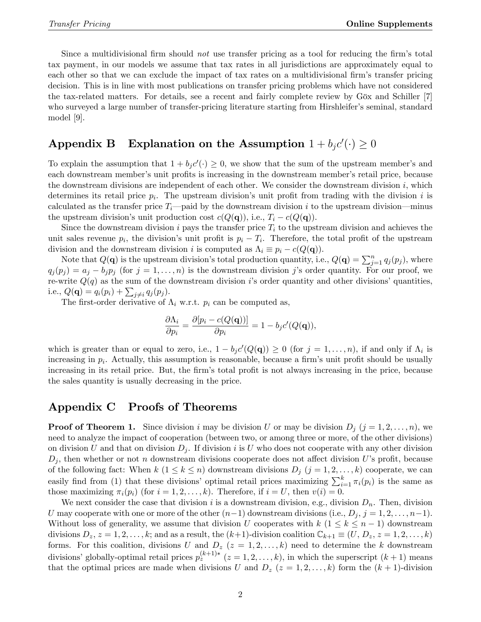Since a multidivisional firm should *not* use transfer pricing as a tool for reducing the firm's total tax payment, in our models we assume that tax rates in all jurisdictions are approximately equal to each other so that we can exclude the impact of tax rates on a multidivisional firm's transfer pricing decision. This is in line with most publications on transfer pricing problems which have not considered the tax-related matters. For details, see a recent and fairly complete review by Göx and Schiller [7] who surveyed a large number of transfer-pricing literature starting from Hirshleifer's seminal, standard model [9].

# Appendix B Explanation on the Assumption  $1 + b_j c'(\cdot) \ge 0$

To explain the assumption that  $1 + b_j c'(\cdot) \geq 0$ , we show that the sum of the upstream member's and each downstream member's unit profits is increasing in the downstream member's retail price, because the downstream divisions are independent of each other. We consider the downstream division  $i$ , which determines its retail price  $p_i$ . The upstream division's unit profit from trading with the division i is calculated as the transfer price  $T_i$  paid by the downstream division i to the upstream division—minus the upstream division's unit production cost  $c(Q(\mathbf{q}))$ , i.e.,  $T_i - c(Q(\mathbf{q}))$ .

Since the downstream division i pays the transfer price  $T_i$  to the upstream division and achieves the unit sales revenue  $p_i$ , the division's unit profit is  $p_i - T_i$ . Therefore, the total profit of the upstream division and the downstream division i is computed as  $\Lambda_i \equiv p_i - c(Q(\mathbf{q}))$ .

Note that  $Q(\mathbf{q})$  is the upstream division's total production quantity, i.e.,  $Q(\mathbf{q}) = \sum_{j=1}^{n} q_j(p_j)$ , where  $q_j(p_j) = a_j - b_j p_j$  (for  $j = 1, ..., n$ ) is the downstream division j's order quantity. For our proof, we re-write  $Q(q)$  as the sum of the downstream division is order quantity and other divisions' quantities, i.e.,  $Q(\mathbf{q}) = q_i(p_i) + \sum_{j \neq i} q_j(p_j)$ .

The first-order derivative of  $\Lambda_i$  w.r.t.  $p_i$  can be computed as,

$$
\frac{\partial \Lambda_i}{\partial p_i} = \frac{\partial [p_i - c(Q(\mathbf{q}))]}{\partial p_i} = 1 - b_j c'(Q(\mathbf{q})),
$$

which is greater than or equal to zero, i.e.,  $1 - b_j c'(Q(\mathbf{q})) \ge 0$  (for  $j = 1, ..., n$ ), if and only if  $\Lambda_i$  is increasing in  $p_i$ . Actually, this assumption is reasonable, because a firm's unit profit should be usually increasing in its retail price. But, the firm's total profit is not always increasing in the price, because the sales quantity is usually decreasing in the price.

# Appendix C Proofs of Theorems

**Proof of Theorem 1.** Since division i may be division U or may be division  $D_j$   $(j = 1, 2, \ldots, n)$ , we need to analyze the impact of cooperation (between two, or among three or more, of the other divisions) on division U and that on division  $D_j$ . If division i is U who does not cooperate with any other division  $D_i$ , then whether or not n downstream divisions cooperate does not affect division U's profit, because of the following fact: When  $k$   $(1 \leq k \leq n)$  downstream divisions  $D_j$   $(j = 1, 2, ..., k)$  cooperate, we can easily find from (1) that these divisions' optimal retail prices maximizing  $\sum_{i=1}^{k} \pi_i(p_i)$  is the same as those maximizing  $\pi_i(p_i)$  (for  $i = 1, 2, ..., k$ ). Therefore, if  $i = U$ , then  $v(i) = 0$ .

We next consider the case that division i is a downstream division, e.g., division  $D_n$ . Then, division U may cooperate with one or more of the other  $(n-1)$  downstream divisions (i.e.,  $D_j$ ,  $j = 1, 2, \ldots, n-1$ ). Without loss of generality, we assume that division U cooperates with  $k$   $(1 \leq k \leq n-1)$  downstream divisions  $D_z, z = 1, 2, \ldots, k$ ; and as a result, the  $(k+1)$ -division coalition  $\mathbb{C}_{k+1} \equiv (U, D_z, z = 1, 2, \ldots, k)$ forms. For this coalition, divisions U and  $D_z$  ( $z = 1, 2, ..., k$ ) need to determine the k downstream divisions' globally-optimal retail prices  $p_z^{(k+1)*}$   $(z = 1, 2, ..., k)$ , in which the superscript  $(k + 1)$  means that the optimal prices are made when divisions U and  $D_z$  ( $z = 1, 2, \ldots, k$ ) form the  $(k + 1)$ -division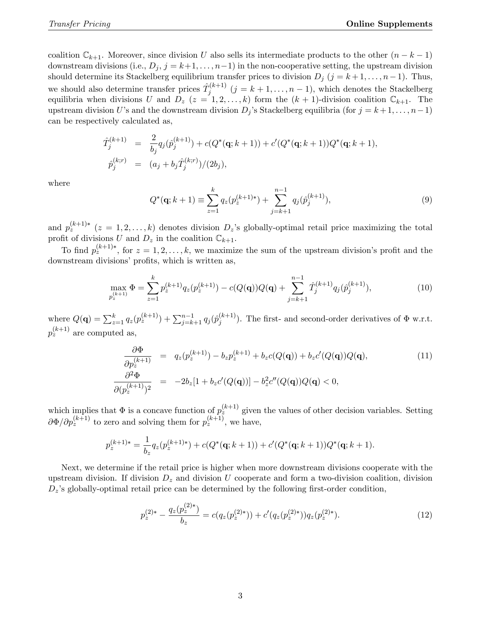coalition  $\mathbb{C}_{k+1}$ . Moreover, since division U also sells its intermediate products to the other  $(n - k - 1)$ downstream divisions (i.e.,  $D_j$ ,  $j = k+1, \ldots, n-1$ ) in the non-cooperative setting, the upstream division should determine its Stackelberg equilibrium transfer prices to division  $D_j$   $(j = k + 1, \ldots, n - 1)$ . Thus, we should also determine transfer prices  $\hat{T}^{(k+1)}_i$  $j^{(k+1)}$   $(j = k + 1, \ldots, n - 1)$ , which denotes the Stackelberg equilibria when divisions U and  $D_z$   $(z = 1, 2, ..., k)$  form the  $(k + 1)$ -division coalition  $\mathbb{C}_{k+1}$ . The upstream division U's and the downstream division  $D_j$ 's Stackelberg equilibria (for  $j = k+1, \ldots, n-1$ ) can be respectively calculated as,

$$
\begin{aligned}\n\hat{T}_j^{(k+1)} &= \frac{2}{b_j} q_j(\hat{p}_j^{(k+1)}) + c(Q^*(\mathbf{q};k+1)) + c'(Q^*(\mathbf{q};k+1))Q^*(\mathbf{q};k+1), \\
\hat{p}_j^{(k;r)} &= (a_j + b_j \hat{T}_j^{(k;r)})/(2b_j),\n\end{aligned}
$$

where

$$
Q^*(\mathbf{q}; k+1) \equiv \sum_{z=1}^k q_z(p_z^{(k+1)*}) + \sum_{j=k+1}^{n-1} q_j(\hat{p}_j^{(k+1)}),
$$
\n(9)

and  $p_z^{(k+1)*}$   $(z = 1, 2, ..., k)$  denotes division  $D_z$ 's globally-optimal retail price maximizing the total profit of divisions U and  $D_z$  in the coalition  $\mathbb{C}_{k+1}$ .

To find  $p_z^{(k+1)*}$ , for  $z = 1, 2, ..., k$ , we maximize the sum of the upstream division's profit and the downstream divisions' profits, which is written as,

$$
\max_{p_z^{(k+1)}} \Phi = \sum_{z=1}^k p_z^{(k+1)} q_z(p_z^{(k+1)}) - c(Q(\mathbf{q}))Q(\mathbf{q}) + \sum_{j=k+1}^{n-1} \hat{T}_j^{(k+1)} q_j(\hat{p}_j^{(k+1)}), \tag{10}
$$

where  $Q(\mathbf{q}) = \sum_{z=1}^{k} q_z(p_z^{(k+1)}) + \sum_{j=k+1}^{n-1} q_j(\hat{p}_j^{(k+1)})$  $j_j^{(k+1)}$ ). The first- and second-order derivatives of  $\Phi$  w.r.t.  $p_z^{(k+1)}$  are computed as,

$$
\frac{\partial \Phi}{\partial p_z^{(k+1)}} = q_z(p_z^{(k+1)}) - b_z p_z^{(k+1)} + b_z c(Q(\mathbf{q})) + b_z c'(Q(\mathbf{q}))Q(\mathbf{q}),
$$
\n
$$
\frac{\partial^2 \Phi}{\partial (p_z^{(k+1)})^2} = -2b_z[1 + b_z c'(Q(\mathbf{q}))] - b_z^2 c''(Q(\mathbf{q}))Q(\mathbf{q}) < 0,
$$
\n(11)

which implies that  $\Phi$  is a concave function of  $p_z^{(k+1)}$  given the values of other decision variables. Setting  $\partial \Phi / \partial p_z^{(k+1)}$  to zero and solving them for  $p_z^{(k+1)}$ , we have,

$$
p_z^{(k+1)*} = \frac{1}{b_z} q_z(p_z^{(k+1)*}) + c(Q^*(\mathbf{q}; k+1)) + c'(Q^*(\mathbf{q}; k+1))Q^*(\mathbf{q}; k+1).
$$

Next, we determine if the retail price is higher when more downstream divisions cooperate with the upstream division. If division  $D_z$  and division U cooperate and form a two-division coalition, division  $D_z$ 's globally-optimal retail price can be determined by the following first-order condition,

$$
p_z^{(2)*} - \frac{q_z(p_z^{(2)*})}{b_z} = c(q_z(p_z^{(2)*})) + c'(q_z(p_z^{(2)*}))q_z(p_z^{(2)*}).
$$
\n(12)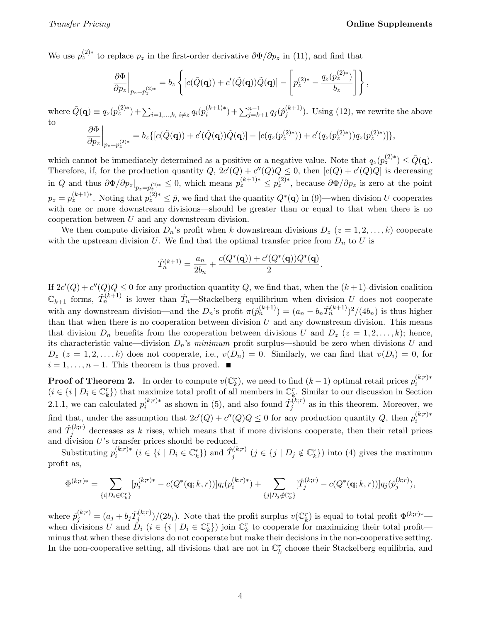We use  $p_z^{(2)*}$  to replace  $p_z$  in the first-order derivative  $\partial \Phi / \partial p_z$  in (11), and find that

$$
\left.\frac{\partial\Phi}{\partial p_z}\right|_{p_z=p_z^{(2)*}}=b_z\left\{ [c(\tilde{Q}(\mathbf{q}))+c'(\tilde{Q}(\mathbf{q}))\tilde{Q}(\mathbf{q})] - \left[p_z^{(2)*}-\frac{q_z(p_z^{(2)*})}{b_z}\right] \right\},\,
$$

where  $\tilde{Q}(\mathbf{q}) \equiv q_z(p_z^{(2)*}) + \sum_{i=1,\dots,k, i \neq z} q_i(p_i^{(k+1)*}) + \sum_{j=k+1}^{n-1} q_j(\hat{p}_j^{(k+1)})$  $j^{(\kappa+1)}$ . Using (12), we rewrite the above to

$$
\left.\frac{\partial\Phi}{\partial p_z}\right|_{p_z=p_z^{(2)*}}=b_z\{[c(\tilde{Q}({\bf q}))+c'(\tilde{Q}({\bf q}))\tilde{Q}({\bf q})]-[c(q_z(p_z^{(2)*}))+c'(q_z(p_z^{(2)*}))q_z(p_z^{(2)*})]\},
$$

which cannot be immediately determined as a positive or a negative value. Note that  $q_z(p_z^{(2)*}) \le \tilde{Q}(\mathbf{q})$ . Therefore, if, for the production quantity  $Q$ ,  $2c'(Q) + c''(Q)Q \leq 0$ , then  $[c(Q) + c'(Q)Q]$  is decreasing in Q and thus  $\partial \Phi / \partial p_z |_{p_z = p_z^{(2)*}} \leq 0$ , which means  $p_z^{(k+1)*} \leq p_z^{(2)*}$ , because  $\partial \Phi / \partial p_z$  is zero at the point  $p_z = p_z^{(k+1)*}$ . Noting that  $p_z^{(2)*} \leq \hat{p}$ , we find that the quantity  $Q^*(\mathbf{q})$  in (9)—when division U cooperates with one or more downstream divisions—should be greater than or equal to that when there is no cooperation between U and any downstream division.

We then compute division  $D_n$ 's profit when k downstream divisions  $D_z$  ( $z = 1, 2, \ldots, k$ ) cooperate with the upstream division U. We find that the optimal transfer price from  $D_n$  to U is

$$
\hat{T}_n^{(k+1)} = \frac{a_n}{2b_n} + \frac{c(Q^*(\mathbf{q})) + c'(Q^*(\mathbf{q}))Q^*(\mathbf{q})}{2}.
$$

If  $2c'(Q) + c''(Q)Q \leq 0$  for any production quantity Q, we find that, when the  $(k+1)$ -division coalition  $\mathbb{C}_{k+1}$  forms,  $\hat{T}^{(k+1)}_n$  is lower than  $\hat{T}_n$ —Stackelberg equilibrium when division U does not cooperate with any downstream division—and the  $D_n$ 's profit  $\pi(\hat{p}_n^{(k+1)}) = (a_n - b_n \hat{T}_n^{(k+1)})^2/(4b_n)$  is thus higher than that when there is no cooperation between division  $U$  and any downstream division. This means that division  $D_n$  benefits from the cooperation between divisions U and  $D_z$  ( $z = 1, 2, \ldots, k$ ); hence, its characteristic value—division  $D_n$ 's minimum profit surplus—should be zero when divisions U and  $D_z$   $(z = 1, 2, \ldots, k)$  does not cooperate, i.e.,  $v(D_n) = 0$ . Similarly, we can find that  $v(D_i) = 0$ , for  $i = 1, \ldots, n - 1$ . This theorem is thus proved.  $\blacksquare$ 

**Proof of Theorem 2.** In order to compute  $v(\mathbb{C}_k^r)$ , we need to find  $(k-1)$  optimal retail prices  $p_i^{(k;r)*}$  $(i \in \{i \mid D_i \in \mathbb{C}_k^r\})$  that maximize total profit of all members in  $\mathbb{C}_k^r$ . Similar to our discussion in Section 2.1.1, we can calculated  $p_i^{(k;r)*}$  as shown in (5), and also found  $\hat{T}_j^{(k;r)}$  $j^{(k;r)}$  as in this theorem. Moreover, we find that, under the assumption that  $2c'(Q) + c''(Q)Q \leq 0$  for any production quantity Q, then  $p_i^{(k;r)*}$ and  $\hat{T}^{(k;r)}_i$  $j_j^{(k,r)}$  decreases as k rises, which means that if more divisions cooperate, then their retail prices and division  $U$ 's transfer prices should be reduced.

Substituting  $p_i^{(k;r)*}$   $(i \in \{i \mid D_i \in \mathbb{C}_k^r\})$  and  $\hat{T}_j^{(k;r)}$  $j_j^{(k;r)}$   $(j \in \{j \mid D_j \notin \mathbb{C}_k^r\})$  into (4) gives the maximum profit as,

$$
\Phi^{(k;r)*} = \sum_{\{i|D_i \in \mathbb{C}_k^r\}} [p_i^{(k;r)*} - c(Q^*(\mathbf{q};k,r))]q_i(p_i^{(k;r)*}) + \sum_{\{j|D_j \notin \mathbb{C}_k^r\}} [\hat{T}_j^{(k;r)} - c(Q^*(\mathbf{q};k,r))]q_j(p_j^{(k;r)}),
$$

where  $\hat{p}_j^{(k;r)} = (a_j + b_j \hat{T}_j^{(k;r)}$  $\frac{p_j(k;r)}{p_j}$  (2b<sub>j</sub>). Note that the profit surplus  $v(\mathbb{C}_k^r)$  is equal to total profit  $\Phi^{(k;r)*}$ when divisions U and  $\tilde{D}_i$  ( $i \in \{i \mid D_i \in \mathbb{C}_k^r\}$ ) join  $\mathbb{C}_k^r$  to cooperate for maximizing their total profitminus that when these divisions do not cooperate but make their decisions in the non-cooperative setting. In the non-cooperative setting, all divisions that are not in  $\mathbb{C}_k^r$  choose their Stackelberg equilibria, and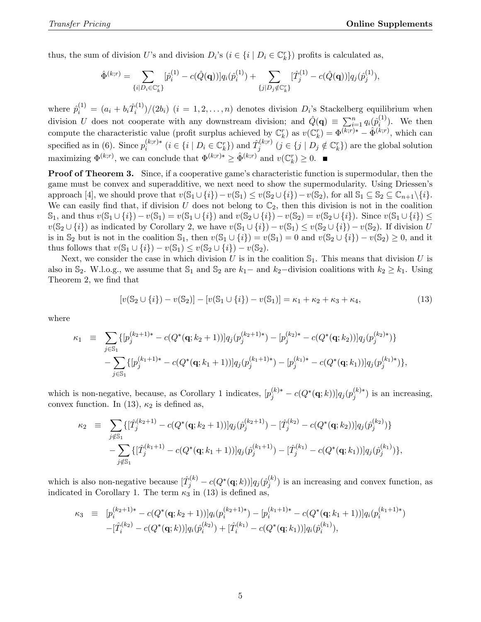thus, the sum of division U's and division  $D_i$ 's  $(i \in \{i \mid D_i \in \mathbb{C}_k^r\})$  profits is calculated as,

$$
\hat{\Phi}^{(k;r)} = \sum_{\{i|D_i \in \mathbb{C}_k^r\}} [\hat{p}_i^{(1)} - c(\hat{Q}(\mathbf{q}))] q_i(\hat{p}_i^{(1)}) + \sum_{\{j|D_j \notin \mathbb{C}_k^r\}} [\hat{T}_j^{(1)} - c(\hat{Q}(\mathbf{q}))] q_j(\hat{p}_j^{(1)}),
$$

where  $\hat{p}^{(1)}_i = (a_i + b_i \hat{T}^{(1)}_i)/(2b_i)$   $(i = 1, 2, ..., n)$  denotes division  $D_i$ 's Stackelberg equilibrium when where  $p_i = (a_i + b_i I_i) / (2b_i)$   $(i = 1, 2, ..., n)$  denotes division  $D_i$  is statistically equilibrium division U does not cooperate with any downstream division; and  $\hat{Q}(\mathbf{q}) \equiv \sum_{i=1}^n q_i(\hat{p}_i^{(1)})$  $i^{(1)}$ ). We then compute the characteristic value (profit surplus achieved by  $\mathbb{C}_k^r$ ) as  $v(\mathbb{C}_k^r) = \Phi^{(k;r)*} - \hat{\Phi}^{(k;r)}$ , which can specified as in (6). Since  $p_i^{(k;r)*}$   $(i \in \{i \mid D_i \in \mathbb{C}_k^r\})$  and  $\hat{T}_j^{(k;r)}$  $j_j^{(k;r)}$   $(j \in \{j \mid D_j \notin \mathbb{C}_k^r\})$  are the global solution maximizing  $\Phi^{(k;r)}$ , we can conclude that  $\Phi^{(k;r)*} \geq \hat{\Phi}^{(k;r)}$  and  $v(\mathbb{C}_k^r) \geq 0$ .

**Proof of Theorem 3.** Since, if a cooperative game's characteristic function is supermodular, then the game must be convex and superadditive, we next need to show the supermodularity. Using Driessenís approach [4], we should prove that  $v(\mathbb{S}_1 \cup \{i\}) - v(\mathbb{S}_1) \le v(\mathbb{S}_2 \cup \{i\}) - v(\mathbb{S}_2)$ , for all  $\mathbb{S}_1 \subseteq \mathbb{S}_2 \subseteq \mathbb{C}_{n+1} \setminus \{i\}$ . We can easily find that, if division U does not belong to  $\mathbb{C}_2$ , then this division is not in the coalition  $\mathbb{S}_1$ , and thus  $v(\mathbb{S}_1 \cup \{i\}) - v(\mathbb{S}_1) = v(\mathbb{S}_1 \cup \{i\})$  and  $v(\mathbb{S}_2 \cup \{i\}) - v(\mathbb{S}_2) = v(\mathbb{S}_2 \cup \{i\})$ . Since  $v(\mathbb{S}_1 \cup \{i\}) \leq$  $v(\mathbb{S}_2 \cup \{i\})$  as indicated by Corollary 2, we have  $v(\mathbb{S}_1 \cup \{i\}) - v(\mathbb{S}_1) \le v(\mathbb{S}_2 \cup \{i\}) - v(\mathbb{S}_2)$ . If division U is in  $\mathbb{S}_2$  but is not in the coalition  $\mathbb{S}_1$ , then  $v(\mathbb{S}_1 \cup \{i\}) = v(\mathbb{S}_1) = 0$  and  $v(\mathbb{S}_2 \cup \{i\}) - v(\mathbb{S}_2) \ge 0$ , and it thus follows that  $v(\mathbb{S}_1 \cup \{i\}) - v(\mathbb{S}_1) \le v(\mathbb{S}_2 \cup \{i\}) - v(\mathbb{S}_2)$ .

Next, we consider the case in which division U is in the coalition  $\mathbb{S}_1$ . This means that division U is also in  $\mathbb{S}_2$ . W.l.o.g., we assume that  $\mathbb{S}_1$  and  $\mathbb{S}_2$  are  $k_1$  and  $k_2$  division coalitions with  $k_2 \geq k_1$ . Using Theorem 2, we find that

$$
[v(\mathbb{S}_2 \cup \{i\}) - v(\mathbb{S}_2)] - [v(\mathbb{S}_1 \cup \{i\}) - v(\mathbb{S}_1)] = \kappa_1 + \kappa_2 + \kappa_3 + \kappa_4,\tag{13}
$$

where

$$
\kappa_1 \equiv \sum_{j \in \mathbb{S}_1} \{ [p_j^{(k_2+1)*} - c(Q^*(\mathbf{q}; k_2+1))] q_j(p_j^{(k_2+1)*}) - [p_j^{(k_2)*} - c(Q^*(\mathbf{q}; k_2))] q_j(p_j^{(k_2)*}) \}
$$
  

$$
- \sum_{j \in \mathbb{S}_1} \{ [p_j^{(k_1+1)*} - c(Q^*(\mathbf{q}; k_1+1))] q_j(p_j^{(k_1+1)*}) - [p_j^{(k_1)*} - c(Q^*(\mathbf{q}; k_1))] q_j(p_j^{(k_1)*}) \},
$$

which is non-negative, because, as Corollary 1 indicates,  $[p_j^{(k)*} - c(Q^*(q;k))]q_j(p_j^{(k)*})$  is an increasing, convex function. In (13),  $\kappa_2$  is defined as,

$$
\kappa_2 \equiv \sum_{j \notin \mathbb{S}_1} \{ [\hat{T}_j^{(k_2+1)} - c(Q^*(\mathbf{q}; k_2+1))] q_j(\hat{p}_j^{(k_2+1)}) - [\hat{T}_j^{(k_2)} - c(Q^*(\mathbf{q}; k_2))] q_j(\hat{p}_j^{(k_2)}) \} - \sum_{j \notin \mathbb{S}_1} \{ [\hat{T}_j^{(k_1+1)} - c(Q^*(\mathbf{q}; k_1+1))] q_j(\hat{p}_j^{(k_1+1)}) - [\hat{T}_j^{(k_1)} - c(Q^*(\mathbf{q}; k_1))] q_j(\hat{p}_j^{(k_1)}) \},
$$

which is also non-negative because  $[\hat{T}_j^{(k)} - c(Q^*(\mathbf{q}; k))]q_j(\hat{p}_j^{(k)})$  $j^{(k)}$ ) is an increasing and convex function, as indicated in Corollary 1. The term  $\kappa_3$  in (13) is defined as,

$$
\kappa_3 \equiv [p_i^{(k_2+1)*} - c(Q^*(\mathbf{q}; k_2+1))]q_i(p_i^{(k_2+1)*}) - [p_i^{(k_1+1)*} - c(Q^*(\mathbf{q}; k_1+1))]q_i(p_i^{(k_1+1)*})
$$
  

$$
-[{\hat T}_i^{(k_2)} - c(Q^*(\mathbf{q}; k))]q_i(p_i^{(k_2)}) + [{\hat T}_i^{(k_1)} - c(Q^*(\mathbf{q}; k_1))]q_i(p_i^{(k_1)}),
$$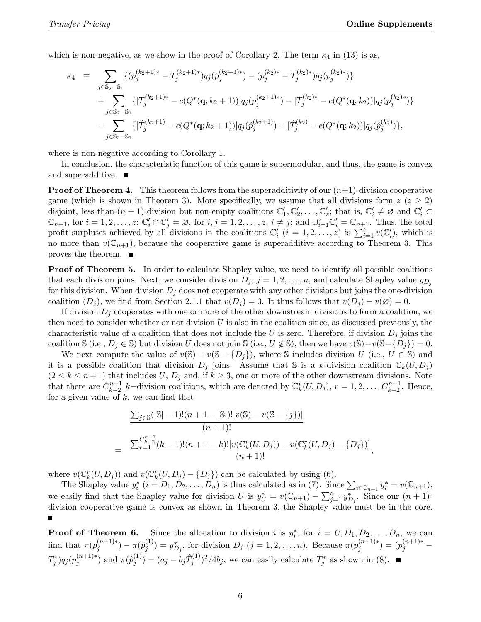which is non-negative, as we show in the proof of Corollary 2. The term  $\kappa_4$  in (13) is as,

$$
\kappa_4 = \sum_{j \in \mathbb{S}_2 - \mathbb{S}_1} \{ (p_j^{(k_2+1)*} - T_j^{(k_2+1)*}) q_j(p_j^{(k_2+1)*}) - (p_j^{(k_2)*} - T_j^{(k_2)*}) q_j(p_j^{(k_2)*}) \} + \sum_{j \in \mathbb{S}_2 - \mathbb{S}_1} \{ [T_j^{(k_2+1)*} - c(Q^*(\mathbf{q}; k_2+1))] q_j(p_j^{(k_2+1)*}) - [T_j^{(k_2)*} - c(Q^*(\mathbf{q}; k_2))] q_j(p_j^{(k_2)*}) \} - \sum_{j \in \mathbb{S}_2 - \mathbb{S}_1} \{ [\hat{T}_j^{(k_2+1)} - c(Q^*(\mathbf{q}; k_2+1))] q_j(p_j^{(k_2+1)}) - [\hat{T}_j^{(k_2)} - c(Q^*(\mathbf{q}; k_2))] q_j(p_j^{(k_2)}) \},
$$

where is non-negative according to Corollary 1.

In conclusion, the characteristic function of this game is supermodular, and thus, the game is convex and superadditive.  $\blacksquare$ 

**Proof of Theorem 4.** This theorem follows from the superadditivity of our  $(n+1)$ -division cooperative game (which is shown in Theorem 3). More specifically, we assume that all divisions form  $z (z \geq 2)$ disjoint, less-than- $(n + 1)$ -division but non-empty coalitions  $\mathbb{C}'_1, \mathbb{C}'_2, \ldots, \mathbb{C}'_z$ ; that is,  $\mathbb{C}'_i \neq \emptyset$  and  $\mathbb{C}'_i \subset$  $\mathbb{C}_{n+1}$ , for  $i = 1, 2, \ldots, z$ ;  $\mathbb{C}'_i \cap \mathbb{C}'_j = \emptyset$ , for  $i, j = 1, 2, \ldots, z$ ,  $i \neq j$ ; and  $\bigcup_{i=1}^z \mathbb{C}'_i = \mathbb{C}_{n+1}$ . Thus, the total profit surpluses achieved by all divisions in the coalitions  $\mathbb{C}_i^j$   $(i = 1, 2, \ldots, z)$  is  $\sum_{i=1}^z v(\mathbb{C}_i^j)$ , which is no more than  $v(\mathbb{C}_{n+1})$ , because the cooperative game is superadditive according to Theorem 3. This proves the theorem.

**Proof of Theorem 5.** In order to calculate Shapley value, we need to identify all possible coalitions that each division joins. Next, we consider division  $D_j$ ,  $j = 1, 2, \ldots, n$ , and calculate Shapley value  $y_{D_j}$ for this division. When division  $D_j$  does not cooperate with any other divisions but joins the one-division coalition  $(D_i)$ , we find from Section 2.1.1 that  $v(D_i) = 0$ . It thus follows that  $v(D_i) - v(\emptyset) = 0$ .

If division  $D_i$  cooperates with one or more of the other downstream divisions to form a coalition, we then need to consider whether or not division  $U$  is also in the coalition since, as discussed previously, the characteristic value of a coalition that does not include the U is zero. Therefore, if division  $D_i$  joins the coalition S (i.e.,  $D_j \in \mathbb{S}$ ) but division U does not join S (i.e.,  $U \notin \mathbb{S}$ ), then we have  $v(\mathbb{S})-v(\mathbb{S}-\{D_j\})=0$ .

We next compute the value of  $v(\mathbb{S}) - v(\mathbb{S} - \{D_j\})$ , where S includes division U (i.e.,  $U \in \mathbb{S}$ ) and it is a possible coalition that division  $D_j$  joins. Assume that S is a k-division coalition  $\mathbb{C}_k(U, D_j)$  $(2 \le k \le n + 1)$  that includes U,  $D_j$  and, if  $k \ge 3$ , one or more of the other downstream divisions. Note that there are  $C_{k-2}^{n-1}$  $\mathbb{C}_k^{n-1}$  k-division coalitions, which are denoted by  $\mathbb{C}_k^r(U, D_j)$ ,  $r = 1, 2, \ldots, C_{k-2}^{n-1}$ . Hence, for a given value of  $k$ , we can find that

$$
\frac{\sum_{j\in\mathbb{S}}(|\mathbb{S}|-1)!(n+1-|\mathbb{S}|)![v(\mathbb{S})-v(\mathbb{S}-\{j\})]}{(n+1)!}
$$
\n
$$
=\frac{\sum_{r=1}^{C_{k-2}^{n-1}}(k-1)!(n+1-k)![v(\mathbb{C}_{k}^{r}(U,D_{j}))-v(\mathbb{C}_{k}^{r}(U,D_{j})-\{D_{j}\})]}{(n+1)!},
$$

where  $v(\mathbb{C}_k^r(U, D_j))$  and  $v(\mathbb{C}_k^r(U, D_j) - \{D_j\})$  can be calculated by using (6).

The Shapley value  $y_i^*$   $(i = D_1, D_2, \ldots, D_n)$  is thus calculated as in (7). Since  $\sum_{i \in \mathbb{C}_{n+1}} y_i^* = v(\mathbb{C}_{n+1}),$ we easily find that the Shapley value for division U is  $y_{U}^{*} = v(\mathbb{C}_{n+1}) - \sum_{j=1}^{n} y_{D_j}^{*}$ . Since our  $(n+1)$ division cooperative game is convex as shown in Theorem 3, the Shapley value must be in the core.

**Proof of Theorem 6.** Since the allocation to division i is  $y_i^*$ , for  $i = U, D_1, D_2, \ldots, D_n$ , we can find that  $\pi(p_j^{(n+1)*}) - \pi(p_j^{(1)})$  $j^{(1)}(j) = y_{D_j}^*$ , for division  $D_j$   $(j = 1, 2, ..., n)$ . Because  $\pi(p_j^{(n+1)*}) = (p_j^{(n+1)*} (T_j^*)q_j(p_j^{(n+1)*})$  and  $\pi(p_j^{(1)})$  $j^{(1)}_j$  =  $(a_j - b_j \hat{T}_j^{(1)})$  $(j^{(1)})^2/4b_j$ , we can easily calculate  $T_j^*$  as shown in (8).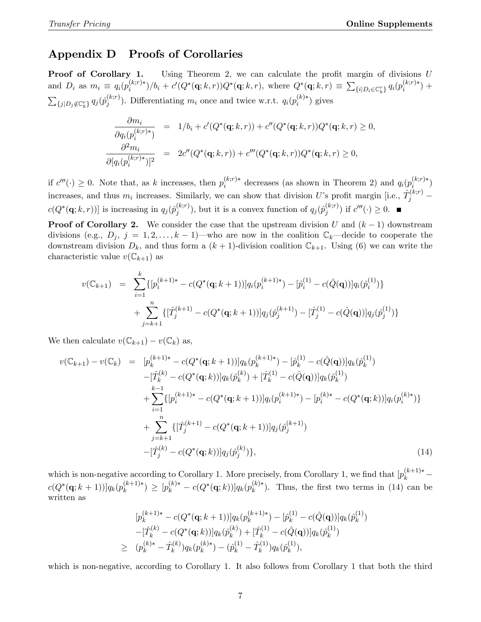# Appendix D Proofs of Corollaries

**Proof of Corollary 1.** Using Theorem 2, we can calculate the profit margin of divisions  $U$ and  $D_i$  as  $m_i \equiv q_i(p_i^{(k;r)*})/b_i + c'(Q^*(\mathbf{q}; k, r))Q^*(\mathbf{q}; k, r)$ , where  $Q^*(\mathbf{q}; k, r) \equiv \sum_{\{i|D_i \in \mathbb{C}_k^r\}} q_i(p_i^{(k;r)*}) +$  $\sum_{\{j|D_j\notin\mathbb{C}^r_k\}}q_j(\hat{p}_j^{(k;r)})$  $j^{(k;r)}$ ). Differentiating  $m_i$  once and twice w.r.t.  $q_i(p_i^{(k)*})$  gives

$$
\frac{\partial m_i}{\partial q_i(p_i^{(k;r)*})} = 1/b_i + c'(Q^*(\mathbf{q}; k, r)) + c''(Q^*(\mathbf{q}; k, r))Q^*(\mathbf{q}; k, r) \ge 0,
$$
\n
$$
\frac{\partial^2 m_i}{\partial [q_i(p_i^{(k;r)*})]^2} = 2c''(Q^*(\mathbf{q}; k, r)) + c'''(Q^*(\mathbf{q}; k, r))Q^*(\mathbf{q}; k, r) \ge 0,
$$

if  $c'''(\cdot) \geq 0$ . Note that, as k increases, then  $p_i^{(k;r)*}$  decreases (as shown in Theorem 2) and  $q_i(p_i^{(k;r)*})$ increases, and thus  $m_i$  increases. Similarly, we can show that division U's profit margin [i.e.,  $\hat{T}_j^{(k;r)}$  –  $c(Q^*(\mathbf{q};k,r))]$  is increasing in  $q_j(\hat{p}_j^{(k;r)})$  $j^{(k;r)}_j$ , but it is a convex function of  $q_j(\hat{p}_j^{(k;r)})$  $j^{(\kappa,r)}$  if  $c'''(\cdot) \geq 0$ .

**Proof of Corollary 2.** We consider the case that the upstream division U and  $(k-1)$  downstream divisions (e.g.,  $D_j$ ,  $j = 1, 2, ..., k - 1$ )—who are now in the coalition  $\mathbb{C}_k$ —decide to cooperate the downstream division  $D_k$ , and thus form a  $(k + 1)$ -division coalition  $\mathbb{C}_{k+1}$ . Using (6) we can write the characteristic value  $v(\mathbb{C}_{k+1})$  as

$$
v(\mathbb{C}_{k+1}) = \sum_{i=1}^{k} \{ [p_i^{(k+1)*} - c(Q^*(\mathbf{q}; k+1))] q_i(p_i^{(k+1)*}) - [\hat{p}_i^{(1)} - c(\hat{Q}(\mathbf{q}))] q_i(\hat{p}_i^{(1)}) \} + \sum_{j=k+1}^{n} \{ [\hat{T}_j^{(k+1)} - c(Q^*(\mathbf{q}; k+1))] q_j(\hat{p}_j^{(k+1)}) - [\hat{T}_j^{(1)} - c(\hat{Q}(\mathbf{q}))] q_j(\hat{p}_j^{(1)}) \}
$$

We then calculate  $v(\mathbb{C}_{k+1}) - v(\mathbb{C}_k)$  as,

$$
v(\mathbb{C}_{k+1}) - v(\mathbb{C}_{k}) = [p_{k}^{(k+1)*} - c(Q^{*}(\mathbf{q}; k+1))]q_{k}(p_{k}^{(k+1)*}) - [p_{k}^{(1)} - c(\hat{Q}(\mathbf{q}))]q_{k}(p_{k}^{(1)})
$$
  
\n
$$
-[\hat{T}_{k}^{(k)} - c(Q^{*}(\mathbf{q}; k))]q_{k}(p_{k}^{(k)}) + [\hat{T}_{k}^{(1)} - c(\hat{Q}(\mathbf{q}))]q_{k}(p_{k}^{(1)})
$$
  
\n
$$
+ \sum_{i=1}^{k-1} \{[p_{i}^{(k+1)*} - c(Q^{*}(\mathbf{q}; k+1))]q_{i}(p_{i}^{(k+1)*}) - [p_{i}^{(k)*} - c(Q^{*}(\mathbf{q}; k))]q_{i}(p_{i}^{(k)*})\}
$$
  
\n
$$
+ \sum_{j=k+1}^{n} \{[\hat{T}_{j}^{(k+1)} - c(Q^{*}(\mathbf{q}; k+1))]q_{j}(\hat{p}_{j}^{(k+1)})
$$
  
\n
$$
-[\hat{T}_{j}^{(k)} - c(Q^{*}(\mathbf{q}; k))]q_{j}(\hat{p}_{j}^{(k)})\}, \qquad (14)
$$

which is non-negative according to Corollary 1. More precisely, from Corollary 1, we find that  $[p_k^{(k+1)*} - p_k^{(k+1)*}]$  $c(Q^*(\mathbf{q};k+1))]q_k(p_k^{(k+1)*}) \ge [p_k^{(k)*} - c(Q^*(\mathbf{q};k))]q_k(p_k^{(k)*}).$  Thus, the first two terms in (14) can be written as

$$
[p_k^{(k+1)*} - c(Q^*(\mathbf{q}; k+1))]q_k(p_k^{(k+1)*}) - [\hat{p}_k^{(1)} - c(\hat{Q}(\mathbf{q}))]q_k(\hat{p}_k^{(1)})
$$
  
 
$$
-[\hat{T}_k^{(k)} - c(Q^*(\mathbf{q}; k))]q_k(\hat{p}_k^{(k)}) + [\hat{T}_k^{(1)} - c(\hat{Q}(\mathbf{q}))]q_k(\hat{p}_k^{(1)})
$$
  
\n
$$
\geq (p_k^{(k)*} - \hat{T}_k^{(k)})q_k(p_k^{(k)*}) - (\hat{p}_k^{(1)} - \hat{T}_k^{(1)})q_k(\hat{p}_k^{(1)}),
$$

which is non-negative, according to Corollary 1. It also follows from Corollary 1 that both the third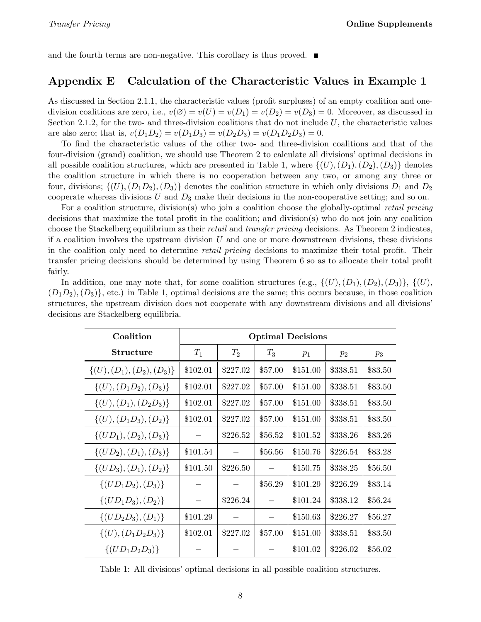and the fourth terms are non-negative. This corollary is thus proved.  $\blacksquare$ 

# Appendix E Calculation of the Characteristic Values in Example 1

As discussed in Section 2.1.1, the characteristic values (profit surpluses) of an empty coalition and onedivision coalitions are zero, i.e.,  $v(\emptyset) = v(U) = v(D_1) = v(D_2) = v(D_3) = 0$ . Moreover, as discussed in Section 2.1.2, for the two- and three-division coalitions that do not include  $U$ , the characteristic values are also zero; that is,  $v(D_1D_2) = v(D_1D_3) = v(D_2D_3) = v(D_1D_2D_3) = 0.$ 

To find the characteristic values of the other two- and three-division coalitions and that of the four-division (grand) coalition, we should use Theorem 2 to calculate all divisions' optimal decisions in all possible coalition structures, which are presented in Table 1, where  $\{(U), (D_1), (D_2), (D_3)\}\$  denotes the coalition structure in which there is no cooperation between any two, or among any three or four, divisions;  $\{(U), (D_1D_2), (D_3)\}\$  denotes the coalition structure in which only divisions  $D_1$  and  $D_2$ cooperate whereas divisions  $U$  and  $D_3$  make their decisions in the non-cooperative setting; and so on.

For a coalition structure, division(s) who join a coalition choose the globally-optimal retail pricing decisions that maximize the total profit in the coalition; and division(s) who do not join any coalition choose the Stackelberg equilibrium as their *retail* and *transfer pricing* decisions. As Theorem 2 indicates, if a coalition involves the upstream division  $U$  and one or more downstream divisions, these divisions in the coalition only need to determine *retail pricing* decisions to maximize their total profit. Their transfer pricing decisions should be determined by using Theorem 6 so as to allocate their total profit fairly.

In addition, one may note that, for some coalition structures (e.g.,  $\{(U), (D_1), (D_2), (D_3)\}\$ ,  $\{(U),$  $(D_1D_2), (D_3)$ , etc.) in Table 1, optimal decisions are the same; this occurs because, in those coalition structures, the upstream division does not cooperate with any downstream divisions and all divisions<sup>7</sup> decisions are Stackelberg equilibria.

| Coalition                       | <b>Optimal Decisions</b> |                    |         |          |          |         |
|---------------------------------|--------------------------|--------------------|---------|----------|----------|---------|
| Structure                       | $T_1$                    | $\scriptstyle T_2$ | $T_3$   | $p_1$    | $p_2$    | $p_3$   |
| $\{(U), (D_1), (D_2), (D_3)\}\$ | \$102.01                 | \$227.02           | \$57.00 | \$151.00 | \$338.51 | \$83.50 |
| $\{(U), (D_1D_2), (D_3)\}\$     | \$102.01                 | \$227.02           | \$57.00 | \$151.00 | \$338.51 | \$83.50 |
| $\{(U), (D_1), (D_2D_3)\}\$     | \$102.01                 | \$227.02           | \$57.00 | \$151.00 | \$338.51 | \$83.50 |
| $\{(U), (D_1D_3), (D_2)\}\$     | \$102.01                 | \$227.02           | \$57.00 | \$151.00 | \$338.51 | \$83.50 |
| $\{(UD_1), (D_2), (D_3)\}\$     |                          | \$226.52           | \$56.52 | \$101.52 | \$338.26 | \$83.26 |
| $\{(UD_2), (D_1), (D_3)\}\$     | \$101.54                 |                    | \$56.56 | \$150.76 | \$226.54 | \$83.28 |
| $\{(UD_3), (D_1), (D_2)\}\$     | \$101.50                 | \$226.50           |         | \$150.75 | \$338.25 | \$56.50 |
| $\{(UD_1D_2), (D_3)\}\$         |                          |                    | \$56.29 | \$101.29 | \$226.29 | \$83.14 |
| $\{(UD_1D_3), (D_2)\}\$         |                          | \$226.24           |         | \$101.24 | \$338.12 | \$56.24 |
| $\{(UD_2D_3), (D_1)\}\$         | \$101.29                 |                    |         | \$150.63 | \$226.27 | \$56.27 |
| $\{(U), (D_1D_2D_3)\}\$         | \$102.01                 | \$227.02           | \$57.00 | \$151.00 | \$338.51 | \$83.50 |
| $\{(UD_1D_2D_3)\}\$             |                          |                    |         | \$101.02 | \$226.02 | \$56.02 |

Table 1: All divisions' optimal decisions in all possible coalition structures.